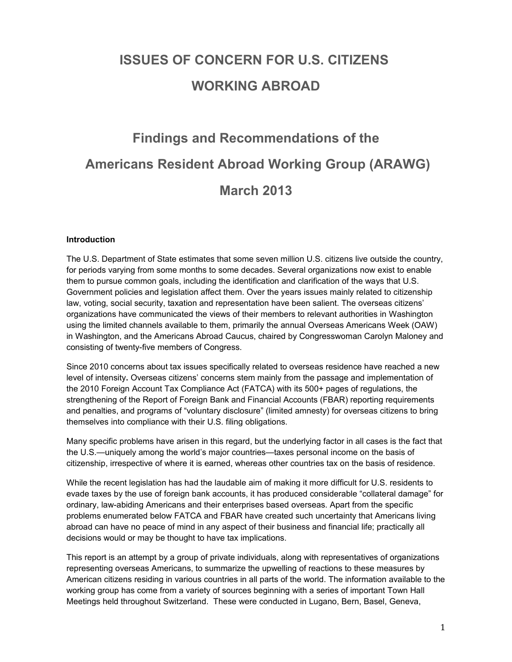# **ISSUES OF CONCERN FOR U.S. CITIZENS WORKING ABROAD**

# **Findings and Recommendations of the Americans Resident Abroad Working Group (ARAWG) March 2013**

#### **Introduction**

The U.S. Department of State estimates that some seven million U.S. citizens live outside the country, for periods varying from some months to some decades. Several organizations now exist to enable them to pursue common goals, including the identification and clarification of the ways that U.S. Government policies and legislation affect them. Over the years issues mainly related to citizenship law, voting, social security, taxation and representation have been salient. The overseas citizens' organizations have communicated the views of their members to relevant authorities in Washington using the limited channels available to them, primarily the annual Overseas Americans Week (OAW) in Washington, and the Americans Abroad Caucus, chaired by Congresswoman Carolyn Maloney and consisting of twenty-five members of Congress.

Since 2010 concerns about tax issues specifically related to overseas residence have reached a new level of intensity**.** Overseas citizens' concerns stem mainly from the passage and implementation of the 2010 Foreign Account Tax Compliance Act (FATCA) with its 500+ pages of regulations, the strengthening of the Report of Foreign Bank and Financial Accounts (FBAR) reporting requirements and penalties, and programs of "voluntary disclosure" (limited amnesty) for overseas citizens to bring themselves into compliance with their U.S. filing obligations.

Many specific problems have arisen in this regard, but the underlying factor in all cases is the fact that the U.S.—uniquely among the world's major countries—taxes personal income on the basis of citizenship, irrespective of where it is earned, whereas other countries tax on the basis of residence.

While the recent legislation has had the laudable aim of making it more difficult for U.S. residents to evade taxes by the use of foreign bank accounts, it has produced considerable "collateral damage" for ordinary, law-abiding Americans and their enterprises based overseas. Apart from the specific problems enumerated below FATCA and FBAR have created such uncertainty that Americans living abroad can have no peace of mind in any aspect of their business and financial life; practically all decisions would or may be thought to have tax implications.

This report is an attempt by a group of private individuals, along with representatives of organizations representing overseas Americans, to summarize the upwelling of reactions to these measures by American citizens residing in various countries in all parts of the world. The information available to the working group has come from a variety of sources beginning with a series of important Town Hall Meetings held throughout Switzerland. These were conducted in Lugano, Bern, Basel, Geneva,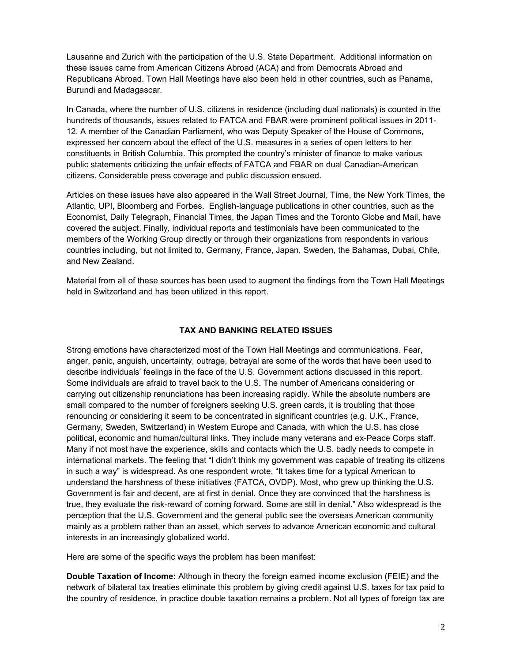Lausanne and Zurich with the participation of the U.S. State Department. Additional information on these issues came from American Citizens Abroad (ACA) and from Democrats Abroad and Republicans Abroad. Town Hall Meetings have also been held in other countries, such as Panama, Burundi and Madagascar.

In Canada, where the number of U.S. citizens in residence (including dual nationals) is counted in the hundreds of thousands, issues related to FATCA and FBAR were prominent political issues in 2011- 12. A member of the Canadian Parliament, who was Deputy Speaker of the House of Commons, expressed her concern about the effect of the U.S. measures in a series of open letters to her constituents in British Columbia. This prompted the country's minister of finance to make various public statements criticizing the unfair effects of FATCA and FBAR on dual Canadian-American citizens. Considerable press coverage and public discussion ensued.

Articles on these issues have also appeared in the Wall Street Journal, Time, the New York Times, the Atlantic, UPI, Bloomberg and Forbes. English-language publications in other countries, such as the Economist, Daily Telegraph, Financial Times, the Japan Times and the Toronto Globe and Mail, have covered the subject. Finally, individual reports and testimonials have been communicated to the members of the Working Group directly or through their organizations from respondents in various countries including, but not limited to, Germany, France, Japan, Sweden, the Bahamas, Dubai, Chile, and New Zealand.

Material from all of these sources has been used to augment the findings from the Town Hall Meetings held in Switzerland and has been utilized in this report.

# **TAX AND BANKING RELATED ISSUES**

Strong emotions have characterized most of the Town Hall Meetings and communications. Fear, anger, panic, anguish, uncertainty, outrage, betrayal are some of the words that have been used to describe individuals' feelings in the face of the U.S. Government actions discussed in this report. Some individuals are afraid to travel back to the U.S. The number of Americans considering or carrying out citizenship renunciations has been increasing rapidly. While the absolute numbers are small compared to the number of foreigners seeking U.S. green cards, it is troubling that those renouncing or considering it seem to be concentrated in significant countries (e.g. U.K., France, Germany, Sweden, Switzerland) in Western Europe and Canada, with which the U.S. has close political, economic and human/cultural links. They include many veterans and ex-Peace Corps staff. Many if not most have the experience, skills and contacts which the U.S. badly needs to compete in international markets. The feeling that "I didn't think my government was capable of treating its citizens in such a way" is widespread. As one respondent wrote, "It takes time for a typical American to understand the harshness of these initiatives (FATCA, OVDP). Most, who grew up thinking the U.S. Government is fair and decent, are at first in denial. Once they are convinced that the harshness is true, they evaluate the risk-reward of coming forward. Some are still in denial." Also widespread is the perception that the U.S. Government and the general public see the overseas American community mainly as a problem rather than an asset, which serves to advance American economic and cultural interests in an increasingly globalized world.

Here are some of the specific ways the problem has been manifest:

**Double Taxation of Income:** Although in theory the foreign earned income exclusion (FEIE) and the network of bilateral tax treaties eliminate this problem by giving credit against U.S. taxes for tax paid to the country of residence, in practice double taxation remains a problem. Not all types of foreign tax are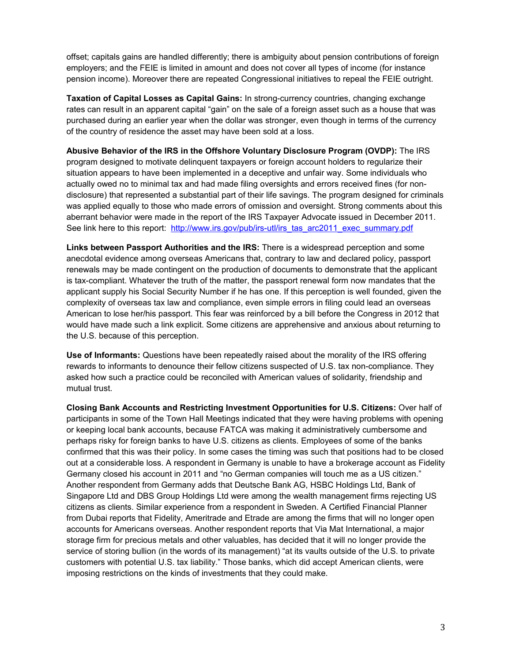offset; capitals gains are handled differently; there is ambiguity about pension contributions of foreign employers; and the FEIE is limited in amount and does not cover all types of income (for instance pension income). Moreover there are repeated Congressional initiatives to repeal the FEIE outright.

**Taxation of Capital Losses as Capital Gains:** In strong-currency countries, changing exchange rates can result in an apparent capital "gain" on the sale of a foreign asset such as a house that was purchased during an earlier year when the dollar was stronger, even though in terms of the currency of the country of residence the asset may have been sold at a loss.

**Abusive Behavior of the IRS in the Offshore Voluntary Disclosure Program (OVDP):** The IRS program designed to motivate delinquent taxpayers or foreign account holders to regularize their situation appears to have been implemented in a deceptive and unfair way. Some individuals who actually owed no to minimal tax and had made filing oversights and errors received fines (for nondisclosure) that represented a substantial part of their life savings. The program designed for criminals was applied equally to those who made errors of omission and oversight. Strong comments about this aberrant behavior were made in the report of the IRS Taxpayer Advocate issued in December 2011. See link here to this report: [http://www.irs.gov/pub/irs-utl/irs\\_tas\\_arc2011\\_exec\\_summary.pdf](http://www.irs.gov/pub/irs-utl/irs_tas_arc2011_exec_summary.pdf)

**Links between Passport Authorities and the IRS:** There is a widespread perception and some anecdotal evidence among overseas Americans that, contrary to law and declared policy, passport renewals may be made contingent on the production of documents to demonstrate that the applicant is tax-compliant. Whatever the truth of the matter, the passport renewal form now mandates that the applicant supply his Social Security Number if he has one. If this perception is well founded, given the complexity of overseas tax law and compliance, even simple errors in filing could lead an overseas American to lose her/his passport. This fear was reinforced by a bill before the Congress in 2012 that would have made such a link explicit. Some citizens are apprehensive and anxious about returning to the U.S. because of this perception.

**Use of Informants:** Questions have been repeatedly raised about the morality of the IRS offering rewards to informants to denounce their fellow citizens suspected of U.S. tax non-compliance. They asked how such a practice could be reconciled with American values of solidarity, friendship and mutual trust.

**Closing Bank Accounts and Restricting Investment Opportunities for U.S. Citizens:** Over half of participants in some of the Town Hall Meetings indicated that they were having problems with opening or keeping local bank accounts, because FATCA was making it administratively cumbersome and perhaps risky for foreign banks to have U.S. citizens as clients. Employees of some of the banks confirmed that this was their policy. In some cases the timing was such that positions had to be closed out at a considerable loss. A respondent in Germany is unable to have a brokerage account as Fidelity Germany closed his account in 2011 and "no German companies will touch me as a US citizen." Another respondent from Germany adds that Deutsche Bank AG, HSBC Holdings Ltd, Bank of Singapore Ltd and DBS Group Holdings Ltd were among the wealth management firms rejecting US citizens as clients. Similar experience from a respondent in Sweden. A Certified Financial Planner from Dubai reports that Fidelity, Ameritrade and Etrade are among the firms that will no longer open accounts for Americans overseas. Another respondent reports that Via Mat International, a major storage firm for precious metals and other valuables, has decided that it will no longer provide the service of storing bullion (in the words of its management) "at its vaults outside of the U.S. to private customers with potential U.S. tax liability." Those banks, which did accept American clients, were imposing restrictions on the kinds of investments that they could make.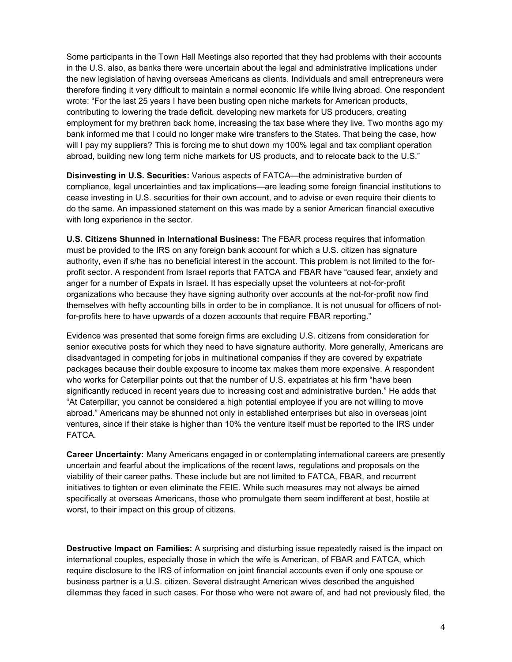Some participants in the Town Hall Meetings also reported that they had problems with their accounts in the U.S. also, as banks there were uncertain about the legal and administrative implications under the new legislation of having overseas Americans as clients. Individuals and small entrepreneurs were therefore finding it very difficult to maintain a normal economic life while living abroad. One respondent wrote: "For the last 25 years I have been busting open niche markets for American products, contributing to lowering the trade deficit, developing new markets for US producers, creating employment for my brethren back home, increasing the tax base where they live. Two months ago my bank informed me that I could no longer make wire transfers to the States. That being the case, how will I pay my suppliers? This is forcing me to shut down my 100% legal and tax compliant operation abroad, building new long term niche markets for US products, and to relocate back to the U.S."

**Disinvesting in U.S. Securities:** Various aspects of FATCA—the administrative burden of compliance, legal uncertainties and tax implications—are leading some foreign financial institutions to cease investing in U.S. securities for their own account, and to advise or even require their clients to do the same. An impassioned statement on this was made by a senior American financial executive with long experience in the sector.

**U.S. Citizens Shunned in International Business:** The FBAR process requires that information must be provided to the IRS on any foreign bank account for which a U.S. citizen has signature authority, even if s/he has no beneficial interest in the account. This problem is not limited to the forprofit sector. A respondent from Israel reports that FATCA and FBAR have "caused fear, anxiety and anger for a number of Expats in Israel. It has especially upset the volunteers at not-for-profit organizations who because they have signing authority over accounts at the not-for-profit now find themselves with hefty accounting bills in order to be in compliance. It is not unusual for officers of notfor-profits here to have upwards of a dozen accounts that require FBAR reporting."

Evidence was presented that some foreign firms are excluding U.S. citizens from consideration for senior executive posts for which they need to have signature authority. More generally, Americans are disadvantaged in competing for jobs in multinational companies if they are covered by expatriate packages because their double exposure to income tax makes them more expensive. A respondent who works for Caterpillar points out that the number of U.S. expatriates at his firm "have been significantly reduced in recent years due to increasing cost and administrative burden." He adds that "At Caterpillar, you cannot be considered a high potential employee if you are not willing to move abroad." Americans may be shunned not only in established enterprises but also in overseas joint ventures, since if their stake is higher than 10% the venture itself must be reported to the IRS under FATCA.

**Career Uncertainty:** Many Americans engaged in or contemplating international careers are presently uncertain and fearful about the implications of the recent laws, regulations and proposals on the viability of their career paths. These include but are not limited to FATCA, FBAR, and recurrent initiatives to tighten or even eliminate the FEIE. While such measures may not always be aimed specifically at overseas Americans, those who promulgate them seem indifferent at best, hostile at worst, to their impact on this group of citizens.

**Destructive Impact on Families:** A surprising and disturbing issue repeatedly raised is the impact on international couples, especially those in which the wife is American, of FBAR and FATCA, which require disclosure to the IRS of information on joint financial accounts even if only one spouse or business partner is a U.S. citizen. Several distraught American wives described the anguished dilemmas they faced in such cases. For those who were not aware of, and had not previously filed, the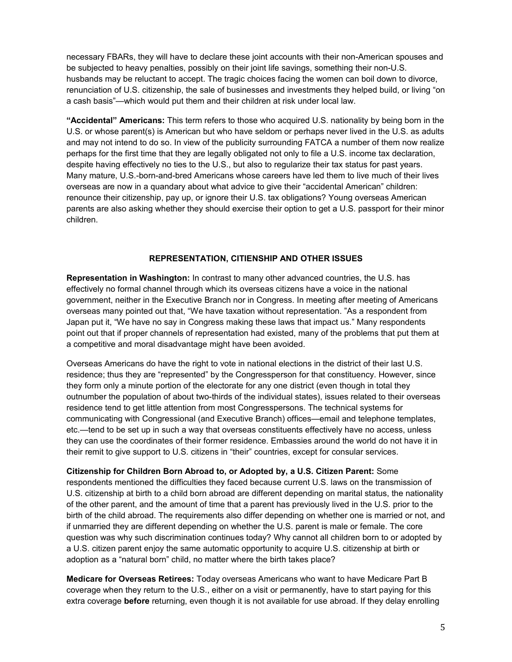necessary FBARs, they will have to declare these joint accounts with their non-American spouses and be subjected to heavy penalties, possibly on their joint life savings, something their non-U.S. husbands may be reluctant to accept. The tragic choices facing the women can boil down to divorce, renunciation of U.S. citizenship, the sale of businesses and investments they helped build, or living "on a cash basis"—which would put them and their children at risk under local law.

**"Accidental" Americans:** This term refers to those who acquired U.S. nationality by being born in the U.S. or whose parent(s) is American but who have seldom or perhaps never lived in the U.S. as adults and may not intend to do so. In view of the publicity surrounding FATCA a number of them now realize perhaps for the first time that they are legally obligated not only to file a U.S. income tax declaration, despite having effectively no ties to the U.S., but also to regularize their tax status for past years. Many mature, U.S.-born-and-bred Americans whose careers have led them to live much of their lives overseas are now in a quandary about what advice to give their "accidental American" children: renounce their citizenship, pay up, or ignore their U.S. tax obligations? Young overseas American parents are also asking whether they should exercise their option to get a U.S. passport for their minor children.

#### **REPRESENTATION, CITIENSHIP AND OTHER ISSUES**

**Representation in Washington:** In contrast to many other advanced countries, the U.S. has effectively no formal channel through which its overseas citizens have a voice in the national government, neither in the Executive Branch nor in Congress. In meeting after meeting of Americans overseas many pointed out that, "We have taxation without representation. "As a respondent from Japan put it, "We have no say in Congress making these laws that impact us." Many respondents point out that if proper channels of representation had existed, many of the problems that put them at a competitive and moral disadvantage might have been avoided.

Overseas Americans do have the right to vote in national elections in the district of their last U.S. residence; thus they are "represented" by the Congressperson for that constituency. However, since they form only a minute portion of the electorate for any one district (even though in total they outnumber the population of about two-thirds of the individual states), issues related to their overseas residence tend to get little attention from most Congresspersons. The technical systems for communicating with Congressional (and Executive Branch) offices—email and telephone templates, etc.—tend to be set up in such a way that overseas constituents effectively have no access, unless they can use the coordinates of their former residence. Embassies around the world do not have it in their remit to give support to U.S. citizens in "their" countries, except for consular services.

**Citizenship for Children Born Abroad to, or Adopted by, a U.S. Citizen Parent:** Some respondents mentioned the difficulties they faced because current U.S. laws on the transmission of U.S. citizenship at birth to a child born abroad are different depending on marital status, the nationality of the other parent, and the amount of time that a parent has previously lived in the U.S. prior to the birth of the child abroad. The requirements also differ depending on whether one is married or not, and if unmarried they are different depending on whether the U.S. parent is male or female. The core question was why such discrimination continues today? Why cannot all children born to or adopted by a U.S. citizen parent enjoy the same automatic opportunity to acquire U.S. citizenship at birth or adoption as a "natural born" child, no matter where the birth takes place?

**Medicare for Overseas Retirees:** Today overseas Americans who want to have Medicare Part B coverage when they return to the U.S., either on a visit or permanently, have to start paying for this extra coverage **before** returning, even though it is not available for use abroad. If they delay enrolling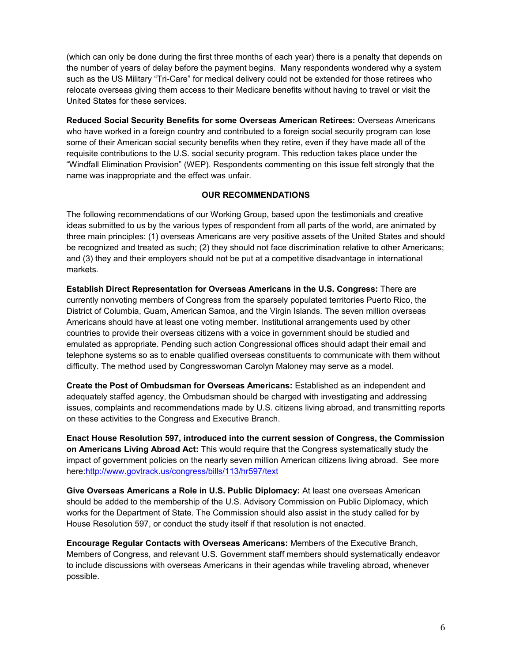(which can only be done during the first three months of each year) there is a penalty that depends on the number of years of delay before the payment begins. Many respondents wondered why a system such as the US Military "Tri-Care" for medical delivery could not be extended for those retirees who relocate overseas giving them access to their Medicare benefits without having to travel or visit the United States for these services.

**Reduced Social Security Benefits for some Overseas American Retirees:** Overseas Americans who have worked in a foreign country and contributed to a foreign social security program can lose some of their American social security benefits when they retire, even if they have made all of the requisite contributions to the U.S. social security program. This reduction takes place under the "Windfall Elimination Provision" (WEP). Respondents commenting on this issue felt strongly that the name was inappropriate and the effect was unfair.

# **OUR RECOMMENDATIONS**

The following recommendations of our Working Group, based upon the testimonials and creative ideas submitted to us by the various types of respondent from all parts of the world, are animated by three main principles: (1) overseas Americans are very positive assets of the United States and should be recognized and treated as such; (2) they should not face discrimination relative to other Americans; and (3) they and their employers should not be put at a competitive disadvantage in international markets.

**Establish Direct Representation for Overseas Americans in the U.S. Congress:** There are currently nonvoting members of Congress from the sparsely populated territories Puerto Rico, the District of Columbia, Guam, American Samoa, and the Virgin Islands. The seven million overseas Americans should have at least one voting member. Institutional arrangements used by other countries to provide their overseas citizens with a voice in government should be studied and emulated as appropriate. Pending such action Congressional offices should adapt their email and telephone systems so as to enable qualified overseas constituents to communicate with them without difficulty. The method used by Congresswoman Carolyn Maloney may serve as a model.

**Create the Post of Ombudsman for Overseas Americans:** Established as an independent and adequately staffed agency, the Ombudsman should be charged with investigating and addressing issues, complaints and recommendations made by U.S. citizens living abroad, and transmitting reports on these activities to the Congress and Executive Branch.

**Enact House Resolution 597, introduced into the current session of Congress, the Commission on Americans Living Abroad Act:** This would require that the Congress systematically study the impact of government policies on the nearly seven million American citizens living abroad. See more here[:http://www.govtrack.us/congress/bills/113/hr597/text](http://www.govtrack.us/congress/bills/113/hr597/text)

**Give Overseas Americans a Role in U.S. Public Diplomacy:** At least one overseas American should be added to the membership of the U.S. Advisory Commission on Public Diplomacy, which works for the Department of State. The Commission should also assist in the study called for by House Resolution 597, or conduct the study itself if that resolution is not enacted.

**Encourage Regular Contacts with Overseas Americans:** Members of the Executive Branch, Members of Congress, and relevant U.S. Government staff members should systematically endeavor to include discussions with overseas Americans in their agendas while traveling abroad, whenever possible.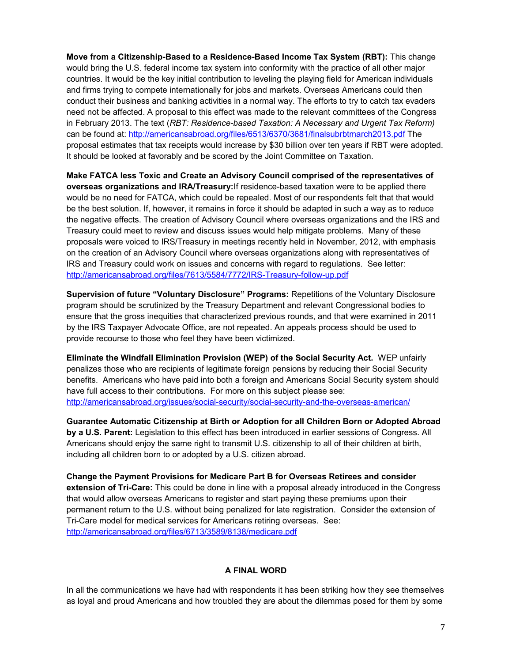**Move from a Citizenship-Based to a Residence-Based Income Tax System (RBT):** This change would bring the U.S. federal income tax system into conformity with the practice of all other major countries. It would be the key initial contribution to leveling the playing field for American individuals and firms trying to compete internationally for jobs and markets. Overseas Americans could then conduct their business and banking activities in a normal way. The efforts to try to catch tax evaders need not be affected. A proposal to this effect was made to the relevant committees of the Congress in February 2013. The text (*RBT: Residence-based Taxation: A Necessary and Urgent Tax Reform)* can be found at:<http://americansabroad.org/files/6513/6370/3681/finalsubrbtmarch2013.pdf>The proposal estimates that tax receipts would increase by \$30 billion over ten years if RBT were adopted. It should be looked at favorably and be scored by the Joint Committee on Taxation.

**Make FATCA less Toxic and Create an Advisory Council comprised of the representatives of overseas organizations and IRA/Treasury:**If residence-based taxation were to be applied there would be no need for FATCA, which could be repealed. Most of our respondents felt that that would be the best solution. If, however, it remains in force it should be adapted in such a way as to reduce the negative effects. The creation of Advisory Council where overseas organizations and the IRS and Treasury could meet to review and discuss issues would help mitigate problems. Many of these proposals were voiced to IRS/Treasury in meetings recently held in November, 2012, with emphasis on the creation of an Advisory Council where overseas organizations along with representatives of IRS and Treasury could work on issues and concerns with regard to regulations. See letter: <http://americansabroad.org/files/7613/5584/7772/IRS-Treasury-follow-up.pdf>

**Supervision of future "Voluntary Disclosure" Programs:** Repetitions of the Voluntary Disclosure program should be scrutinized by the Treasury Department and relevant Congressional bodies to ensure that the gross inequities that characterized previous rounds, and that were examined in 2011 by the IRS Taxpayer Advocate Office, are not repeated. An appeals process should be used to provide recourse to those who feel they have been victimized.

**Eliminate the Windfall Elimination Provision (WEP) of the Social Security Act.** WEP unfairly penalizes those who are recipients of legitimate foreign pensions by reducing their Social Security benefits. Americans who have paid into both a foreign and Americans Social Security system should have full access to their contributions. For more on this subject please see: <http://americansabroad.org/issues/social-security/social-security-and-the-overseas-american/>

**Guarantee Automatic Citizenship at Birth or Adoption for all Children Born or Adopted Abroad by a U.S. Parent:** Legislation to this effect has been introduced in earlier sessions of Congress. All Americans should enjoy the same right to transmit U.S. citizenship to all of their children at birth, including all children born to or adopted by a U.S. citizen abroad.

**Change the Payment Provisions for Medicare Part B for Overseas Retirees and consider extension of Tri-Care:** This could be done in line with a proposal already introduced in the Congress that would allow overseas Americans to register and start paying these premiums upon their permanent return to the U.S. without being penalized for late registration. Consider the extension of Tri-Care model for medical services for Americans retiring overseas. See: <http://americansabroad.org/files/6713/3589/8138/medicare.pdf>

# **A FINAL WORD**

In all the communications we have had with respondents it has been striking how they see themselves as loyal and proud Americans and how troubled they are about the dilemmas posed for them by some